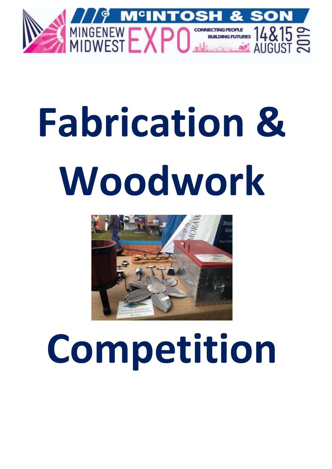

# **Fabrication & Woodwork**



## **Competition**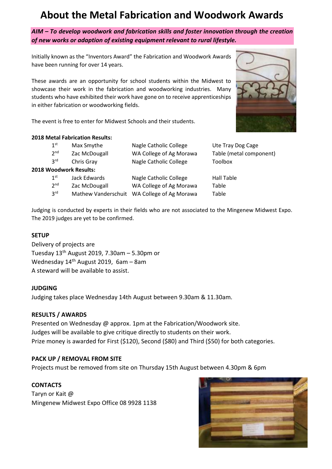### **About the Metal Fabrication and Woodwork Awards**

*AIM – To develop woodwork and fabrication skills and foster innovation through the creation of new works or adaption of existing equipment relevant to rural lifestyle.*

Initially known as the "Inventors Award" the Fabrication and Woodwork Awards have been running for over 14 years.

These awards are an opportunity for school students within the Midwest to showcase their work in the fabrication and woodworking industries. Many students who have exhibited their work have gone on to receive apprenticeships in either fabrication or woodworking fields.

The event is free to enter for Midwest Schools and their students.

#### **2018 Metal Fabrication Results:**

| 1 <sup>st</sup> | Max Smythe             | Nagle Catholic College  | Ute Tray Dog Cage       |
|-----------------|------------------------|-------------------------|-------------------------|
| 2 <sup>nd</sup> | Zac McDougall          | WA College of Ag Morawa | Table (metal component) |
| 3 <sup>rd</sup> | Chris Gray             | Nagle Catholic College  | Toolbox                 |
|                 | 2018 Woodwork Results: |                         |                         |
| 1 <sup>st</sup> | Jack Edwards           | Nagle Catholic College  | Hall Table              |
| 2 <sup>nd</sup> | Zac McDougall          | WA College of Ag Morawa | Table                   |

Mathew Vanderschuit WA College of Ag Morawa Table

Judging is conducted by experts in their fields who are not associated to the Mingenew Midwest Expo. The 2019 judges are yet to be confirmed.

#### **SETUP**

 $3<sup>rd</sup>$ 

Delivery of projects are Tuesday  $13<sup>th</sup>$  August 2019, 7.30am – 5.30pm or Wednesday 14th August 2019, 6am – 8am A steward will be available to assist.

#### **JUDGING**

Judging takes place Wednesday 14th August between 9.30am & 11.30am.

#### **RESULTS / AWARDS**

Presented on Wednesday @ approx. 1pm at the Fabrication/Woodwork site. Judges will be available to give critique directly to students on their work. Prize money is awarded for First (\$120), Second (\$80) and Third (\$50) for both categories.

#### **PACK UP / REMOVAL FROM SITE**

Projects must be removed from site on Thursday 15th August between 4.30pm & 6pm

#### **CONTACTS**

Taryn or Kait @ Mingenew Midwest Expo Office 08 9928 1138

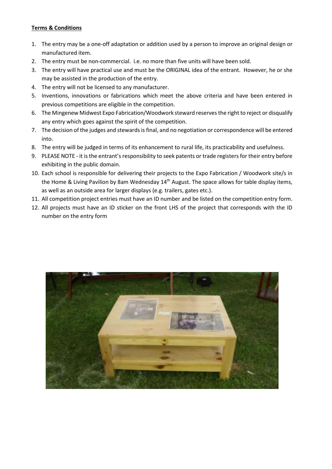#### **Terms & Conditions**

- 1. The entry may be a one-off adaptation or addition used by a person to improve an original design or manufactured item.
- 2. The entry must be non-commercial. i.e. no more than five units will have been sold.
- 3. The entry will have practical use and must be the ORIGINAL idea of the entrant. However, he or she may be assisted in the production of the entry.
- 4. The entry will not be licensed to any manufacturer.
- 5. Inventions, innovations or fabrications which meet the above criteria and have been entered in previous competitions are eligible in the competition.
- 6. The Mingenew Midwest Expo Fabrication/Woodwork steward reservesthe right to reject or disqualify any entry which goes against the spirit of the competition.
- 7. The decision of the judges and stewards is final, and no negotiation or correspondence will be entered into.
- 8. The entry will be judged in terms of its enhancement to rural life, its practicability and usefulness.
- 9. PLEASE NOTE it is the entrant's responsibility to seek patents or trade registers for their entry before exhibiting in the public domain.
- 10. Each school is responsible for delivering their projects to the Expo Fabrication / Woodwork site/s in the Home & Living Pavilion by 8am Wednesday 14<sup>th</sup> August. The space allows for table display items, as well as an outside area for larger displays (e.g. trailers, gates etc.).
- 11. All competition project entries must have an ID number and be listed on the competition entry form.
- 12. All projects must have an ID sticker on the front LHS of the project that corresponds with the ID number on the entry form